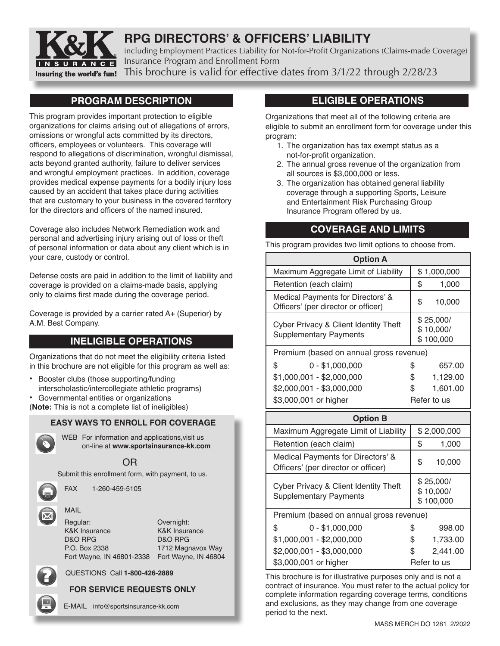

# **RPG DIRECTORS' & OFFICERS' LIABILITY**

including Employment Practices Liability for Not-for-Profit Organizations (Claims-made Coverage) Insurance Program and Enrollment Form This brochure is valid for effective dates from 3/1/22 through 2/28/23

**PROGRAM DESCRIPTION** 

This program provides important protection to eligible organizations for claims arising out of allegations of errors, omissions or wrongful acts committed by its directors, officers, employees or volunteers. This coverage will respond to allegations of discrimination, wrongful dismissal, acts beyond granted authority, failure to deliver services and wrongful employment practices. In addition, coverage provides medical expense payments for a bodily injury loss caused by an accident that takes place during activities that are customary to your business in the covered territory for the directors and officers of the named insured.

Coverage also includes Network Remediation work and personal and advertising injury arising out of loss or theft of personal information or data about any client which is in your care, custody or control.

Defense costs are paid in addition to the limit of liability and coverage is provided on a claims-made basis, applying only to claims first made during the coverage period.

Coverage is provided by a carrier rated A+ (Superior) by A.M. Best Company.

# **INELIGIBLE OPERATIONS**

Organizations that do not meet the eligibility criteria listed in this brochure are not eligible for this program as well as:

- Booster clubs (those supporting/funding interscholastic/intercollegiate athletic programs)
- Governmental entities or organizations

(**Note:** This is not a complete list of ineligibles)

### **EASY WAYS TO ENROLL FOR COVERAGE**



WEB For information and applications, visit us on-line at **www.sportsinsurance-kk.com**

# OR

Submit this enrollment form, with payment, to us.

FAX 1-260-459-5105

MAIL

| Overnight:                                        |
|---------------------------------------------------|
| <b>K&amp;K Insurance</b>                          |
| D&O RPG                                           |
| 1712 Magnavox Way                                 |
| Fort Wayne, IN 46801-2338<br>Fort Wayne, IN 46804 |
|                                                   |

QUESTIONS Call **1-800-426-2889**

# **FOR SERVICE REQUESTS ONLY**

E-MAIL info@sportsinsurance-kk.com

# **ELIGIBLE OPERATIONS**

Organizations that meet all of the following criteria are eligible to submit an enrollment form for coverage under this program:

- 1. The organization has tax exempt status as a not-for-profit organization.
- 2. The annual gross revenue of the organization from all sources is \$3,000,000 or less.
- 3. The organization has obtained general liability coverage through a supporting Sports, Leisure and Entertainment Risk Purchasing Group Insurance Program offered by us.

# **COVERAGE AND LIMITS**

This program provides two limit options to choose from.

| <b>Option A</b>                                                          |    |                                     |
|--------------------------------------------------------------------------|----|-------------------------------------|
| Maximum Aggregate Limit of Liability                                     |    | \$1,000,000                         |
| Retention (each claim)                                                   | \$ | 1,000                               |
| Medical Payments for Directors' &<br>Officers' (per director or officer) | \$ | 10,000                              |
| Cyber Privacy & Client Identity Theft<br><b>Supplementary Payments</b>   |    | \$25,000/<br>\$10,000/<br>\$100,000 |
| Premium (based on annual gross revenue)                                  |    |                                     |
| \$<br>$0 - $1,000,000$                                                   | \$ | 657.00                              |
| $$1,000,001 - $2,000,000$                                                | \$ | 1,129.00                            |
| \$2,000,001 - \$3,000,000                                                | S  | 1,601.00                            |
| \$3,000,001 or higher                                                    |    | Refer to us                         |

| <b>Option B</b>                                                          |                                     |
|--------------------------------------------------------------------------|-------------------------------------|
| Maximum Aggregate Limit of Liability                                     | \$2,000,000                         |
| Retention (each claim)                                                   | \$<br>1,000                         |
| Medical Payments for Directors' &<br>Officers' (per director or officer) | \$<br>10,000                        |
| Cyber Privacy & Client Identity Theft<br><b>Supplementary Payments</b>   | \$25,000/<br>\$10,000/<br>\$100,000 |
| Premium (based on annual gross revenue)                                  |                                     |
| \$<br>$0 - $1,000,000$                                                   | \$<br>998.00                        |
| \$1,000,001 - \$2,000,000                                                | \$<br>1,733.00                      |
| \$2,000,001 - \$3,000,000                                                | \$<br>2,441.00                      |
| \$3,000,001 or higher                                                    | Refer to us                         |

This brochure is for illustrative purposes only and is not a contract of insurance. You must refer to the actual policy for complete information regarding coverage terms, conditions and exclusions, as they may change from one coverage period to the next.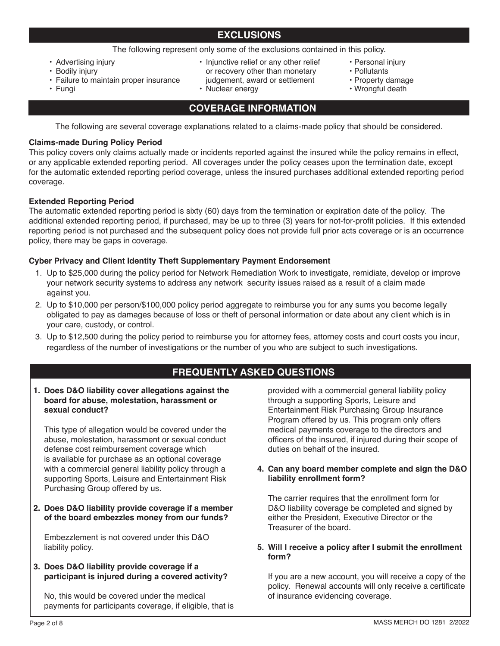The following represent only some of the exclusions contained in this policy.

- Advertising injury
- Bodily injury • Failure to maintain proper insurance
- Injunctive relief or any other relief or recovery other than monetary judgement, award or settlement
- Nuclear energy
- Personal injury
- Pollutants
- Property damage
- Wrongful death

• Fungi

# **COVERAGE INFORMATION**

The following are several coverage explanations related to a claims-made policy that should be considered.

## **Claims-made During Policy Period**

This policy covers only claims actually made or incidents reported against the insured while the policy remains in effect, or any applicable extended reporting period. All coverages under the policy ceases upon the termination date, except for the automatic extended reporting period coverage, unless the insured purchases additional extended reporting period coverage.

## **Extended Reporting Period**

The automatic extended reporting period is sixty (60) days from the termination or expiration date of the policy. The additional extended reporting period, if purchased, may be up to three (3) years for not-for-profit policies. If this extended reporting period is not purchased and the subsequent policy does not provide full prior acts coverage or is an occurrence policy, there may be gaps in coverage.

## **Cyber Privacy and Client Identity Theft Supplementary Payment Endorsement**

- 1. Up to \$25,000 during the policy period for Network Remediation Work to investigate, remidiate, develop or improve your network security systems to address any network security issues raised as a result of a claim made against you.
- 2. Up to \$10,000 per person/\$100,000 policy period aggregate to reimburse you for any sums you become legally obligated to pay as damages because of loss or theft of personal information or date about any client which is in your care, custody, or control.
- 3. Up to \$12,500 during the policy period to reimburse you for attorney fees, attorney costs and court costs you incur, regardless of the number of investigations or the number of you who are subject to such investigations.

# **FREQUENTLY ASKED QUESTIONS**

**1. Does D&O liability cover allegations against the board for abuse, molestation, harassment or sexual conduct?**

This type of allegation would be covered under the abuse, molestation, harassment or sexual conduct defense cost reimbursement coverage which is available for purchase as an optional coverage with a commercial general liability policy through a supporting Sports, Leisure and Entertainment Risk Purchasing Group offered by us.

**2. Does D&O liability provide coverage if a member of the board embezzles money from our funds?**

Embezzlement is not covered under this D&O liability policy.

## **3. Does D&O liability provide coverage if a participant is injured during a covered activity?**

No, this would be covered under the medical payments for participants coverage, if eligible, that is

provided with a commercial general liability policy through a supporting Sports, Leisure and Entertainment Risk Purchasing Group Insurance Program offered by us. This program only offers medical payments coverage to the directors and officers of the insured, if injured during their scope of duties on behalf of the insured.

## **4. Can any board member complete and sign the D&O liability enrollment form?**

The carrier requires that the enrollment form for D&O liability coverage be completed and signed by either the President, Executive Director or the Treasurer of the board.

## **5. Will I receive a policy after I submit the enrollment form?**

If you are a new account, you will receive a copy of the policy. Renewal accounts will only receive a certificate of insurance evidencing coverage.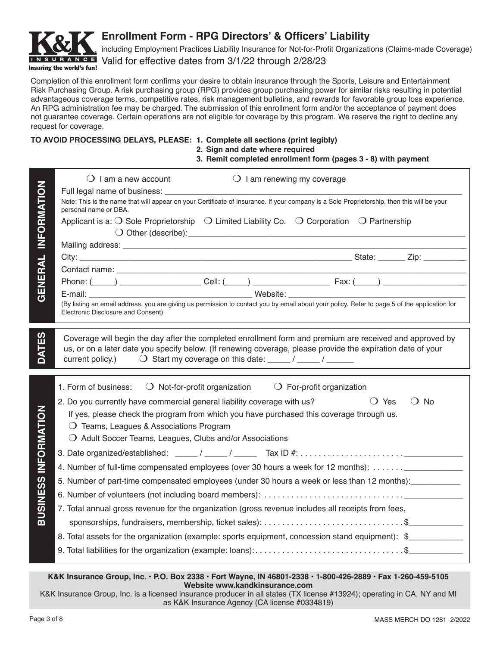

# **Enrollment Form - RPG Directors' & Officers' Liability**

including Employment Practices Liability Insurance for Not-for-Profit Organizations (Claims-made Coverage) N S U R A N C E Valid for effective dates from 3/1/22 through 2/28/23

Completion of this enrollment form confirms your desire to obtain insurance through the Sports, Leisure and Entertainment Risk Purchasing Group. A risk purchasing group (RPG) provides group purchasing power for similar risks resulting in potential advantageous coverage terms, competitive rates, risk management bulletins, and rewards for favorable group loss experience. An RPG administration fee may be charged. The submission of this enrollment form and/or the acceptance of payment does not guarantee coverage. Certain operations are not eligible for coverage by this program. We reserve the right to decline any request for coverage.

## **TO AVOID PROCESSING DELAYS, PLEASE: 1. Complete all sections (print legibly)**

|  |  |  |  |  | 2. Sign and date where required |
|--|--|--|--|--|---------------------------------|
|--|--|--|--|--|---------------------------------|

**3. Remit completed enrollment form (pages 3 - 8) with payment**

|                             | $\bigcirc$ I am renewing my coverage<br>$\bigcirc$ I am a new account                                                                                                                                                   |
|-----------------------------|-------------------------------------------------------------------------------------------------------------------------------------------------------------------------------------------------------------------------|
|                             | Note: This is the name that will appear on your Certificate of Insurance. If your company is a Sole Proprietorship, then this will be your<br>personal name or DBA.                                                     |
| <b>INFORMATION</b>          | Applicant is a: $\bigcirc$ Sole Proprietorship $\bigcirc$ Limited Liability Co. $\bigcirc$ Corporation $\bigcirc$ Partnership                                                                                           |
|                             |                                                                                                                                                                                                                         |
| GENERAL                     |                                                                                                                                                                                                                         |
|                             |                                                                                                                                                                                                                         |
|                             | (By listing an email address, you are giving us permission to contact you by email about your policy. Refer to page 5 of the application for<br>Electronic Disclosure and Consent)                                      |
|                             |                                                                                                                                                                                                                         |
| DATES                       | Coverage will begin the day after the completed enrollment form and premium are received and approved by<br>us, or on a later date you specify below. (If renewing coverage, please provide the expiration date of your |
|                             | O Start my coverage on this date: _____/ _____/ ______<br>current policy.)                                                                                                                                              |
|                             | 1. Form of business: $\bigcirc$ Not-for-profit organization $\bigcirc$ For-profit organization                                                                                                                          |
|                             | $\bigcirc$ Yes<br>2. Do you currently have commercial general liability coverage with us?<br>$\bigcirc$ No                                                                                                              |
|                             | If yes, please check the program from which you have purchased this coverage through us.                                                                                                                                |
| <b>BUSINESS INFORMATION</b> | O Teams, Leagues & Associations Program<br>$\bigcirc$ Adult Soccer Teams, Leagues, Clubs and/or Associations                                                                                                            |
|                             |                                                                                                                                                                                                                         |
|                             | 4. Number of full-time compensated employees (over 30 hours a week for 12 months): _______________                                                                                                                      |
|                             | 5. Number of part-time compensated employees (under 30 hours a week or less than 12 months): __________                                                                                                                 |
|                             |                                                                                                                                                                                                                         |
|                             | 7. Total annual gross revenue for the organization (gross revenue includes all receipts from fees,                                                                                                                      |
|                             |                                                                                                                                                                                                                         |
|                             | 8. Total assets for the organization (example: sports equipment, concession stand equipment): \$                                                                                                                        |
|                             | 9. Total liabilities for the organization (example: loans):\$                                                                                                                                                           |

**K&K Insurance Group, Inc. • P.O. Box 2338 • Fort Wayne, IN 46801-2338 • 1-800-426-2889 • Fax 1-260-459-5105 Website www.kandkinsurance.com**

K&K Insurance Group, Inc. is a licensed insurance producer in all states (TX license #13924); operating in CA, NY and MI as K&K Insurance Agency (CA license #0334819)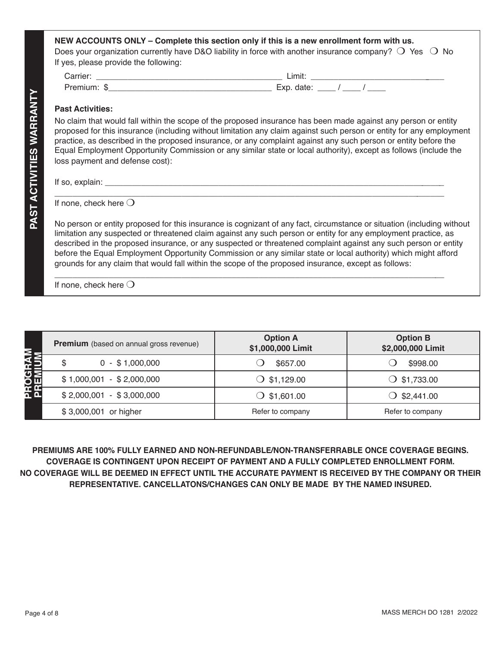| <b>Past Activities:</b>         |                                                                                                                                                                                                                                                                                                                                                                                                                                                                                                                                                                                       |
|---------------------------------|---------------------------------------------------------------------------------------------------------------------------------------------------------------------------------------------------------------------------------------------------------------------------------------------------------------------------------------------------------------------------------------------------------------------------------------------------------------------------------------------------------------------------------------------------------------------------------------|
| loss payment and defense cost): | No claim that would fall within the scope of the proposed insurance has been made against any person or entity<br>proposed for this insurance (including without limitation any claim against such person or entity for any employment<br>practice, as described in the proposed insurance, or any complaint against any such person or entity before the<br>Equal Employment Opportunity Commission or any similar state or local authority), except as follows (include the                                                                                                         |
|                                 |                                                                                                                                                                                                                                                                                                                                                                                                                                                                                                                                                                                       |
|                                 |                                                                                                                                                                                                                                                                                                                                                                                                                                                                                                                                                                                       |
| If none, check here $\bigcirc$  |                                                                                                                                                                                                                                                                                                                                                                                                                                                                                                                                                                                       |
|                                 | No person or entity proposed for this insurance is cognizant of any fact, circumstance or situation (including without<br>limitation any suspected or threatened claim against any such person or entity for any employment practice, as<br>described in the proposed insurance, or any suspected or threatened complaint against any such person or entity<br>before the Equal Employment Opportunity Commission or any similar state or local authority) which might afford<br>grounds for any claim that would fall within the scope of the proposed insurance, except as follows: |

|                            | <b>Premium</b> (based on annual gross revenue) | <b>Option A</b><br>\$1,000,000 Limit | <b>Option B</b><br>\$2,000,000 Limit |
|----------------------------|------------------------------------------------|--------------------------------------|--------------------------------------|
|                            | $0 - $1,000,000$<br>\$                         | \$657.00                             | \$998.00                             |
| <b>PROGRAM<br/>PREMIUM</b> | $$1,000,001 - $2,000,000$                      | $\bigcirc$ \$1,129.00                | $\bigcirc$ \$1,733.00                |
|                            | $$2,000,001 - $3,000,000$                      | $\bigcirc$ \$1,601.00                | $\bigcirc$ \$2,441.00                |
|                            | \$3,000,001 or higher                          | Refer to company                     | Refer to company                     |

**PREMIUMS ARE 100% FULLY EARNED AND NON-REFUNDABLE/NON-TRANSFERRABLE ONCE COVERAGE BEGINS. COVERAGE IS CONTINGENT UPON RECEIPT OF PAYMENT AND A FULLY COMPLETED ENROLLMENT FORM. NO COVERAGE WILL BE DEEMED IN EFFECT UNTIL THE ACCURATE PAYMENT IS RECEIVED BY THE COMPANY OR THEIR REPRESENTATIVE. CANCELLATONS/CHANGES CAN ONLY BE MADE BY THE NAMED INSURED.**

**PAST ACTIVITIES WARRANTY**

PAST ACTIVITIES WARRANTY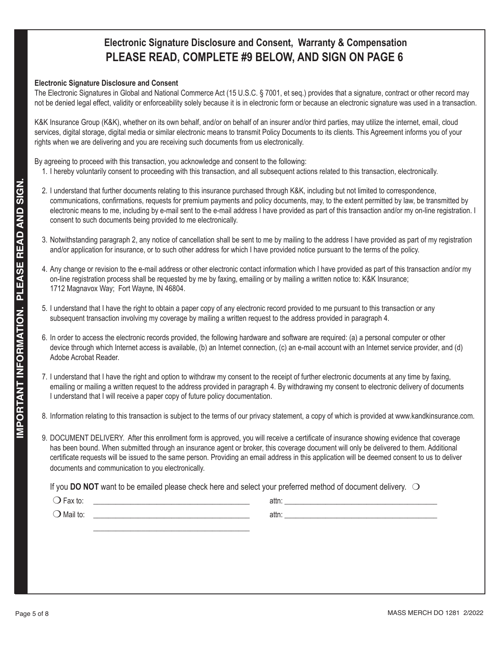# **Electronic Signature Disclosure and Consent, Warranty & Compensation PLEASE READ, COMPLETE #9 BELOW, AND SIGN ON PAGE 6**

## **Electronic Signature Disclosure and Consent**

The Electronic Signatures in Global and National Commerce Act (15 U.S.C. § 7001, et seq.) provides that a signature, contract or other record may not be denied legal effect, validity or enforceability solely because it is in electronic form or because an electronic signature was used in a transaction.

K&K Insurance Group (K&K), whether on its own behalf, and/or on behalf of an insurer and/or third parties, may utilize the internet, email, cloud services, digital storage, digital media or similar electronic means to transmit Policy Documents to its clients. This Agreement informs you of your rights when we are delivering and you are receiving such documents from us electronically.

By agreeing to proceed with this transaction, you acknowledge and consent to the following:

- 1. I hereby voluntarily consent to proceeding with this transaction, and all subsequent actions related to this transaction, electronically .
- 2. I understand that further documents relating to this insurance purchased through K&K, including but not limited to correspondence, communications, confirmations, requests for premium payments and policy documents, may, to the extent permitted by law, be transmitted by electronic means to me, including by e-mail sent to the e-mail address I have provided as part of this transaction and/or my on-line registration. I consent to such documents being provided to me electronically.
- 3. Notwithstanding paragraph 2, any notice of cancellation shall be sent to me by mailing to the address I have provided as part of my registration and/or application for insurance, or to such other address for which I have provided notice pursuant to the terms of the policy.
- 4. Any change or revision to the e-mail address or other electronic contact information which I have provided as part of this transaction and/or my on-line registration process shall be requested by me by faxing, emailing or by mailing a written notice to: K&K Insurance; 1712 Magnavox Way; Fort Wayne, IN 46804.
- 5. I understand that I have the right to obtain a paper copy of any electronic record provided to me pursuant to this transaction or any subsequent transaction involving my coverage by mailing a written request to the address provided in paragraph 4.
- 6. In order to access the electronic records provided, the following hardware and software are required: (a) a personal computer or other  $\qquad \qquad \mid$ device through which Internet access is available, (b) an Internet connection, (c) an e-mail account with an Internet service provider, and (d) Adobe Acrobat Reader.
- 7. I understand that I have the right and option to withdraw my consent to the receipt of further electronic documents at any time by faxing, emailing or mailing a written request to the address provided in paragraph 4. By withdrawing my consent to electronic delivery of documents I understand that I will receive a paper copy of future policy documentation.
- 8. Information relating to this transaction is subject to the terms of our privacy statement, a copy of which is provided at www.kandkinsurance.com.
	- 9. DOCUMENT DELIVERY. After this enrollment form is approved, you will receive a certificate of insurance showing evidence that coverage has been bound. When submitted through an insurance agent or broker, this coverage document will only be delivered to them. Additional certificate requests will be issued to the same person. Providing an email address in this application will be deemed consent to us to deliver documents and communication to you electronically.

If you DO NOT want to be emailed please check here and select your preferred method of document delivery. O

| $\overline{\phantom{0}}$<br>⊦ax to: | attn: |  |
|-------------------------------------|-------|--|
| $\bigcirc$ Mail to:                 | attn: |  |
|                                     |       |  |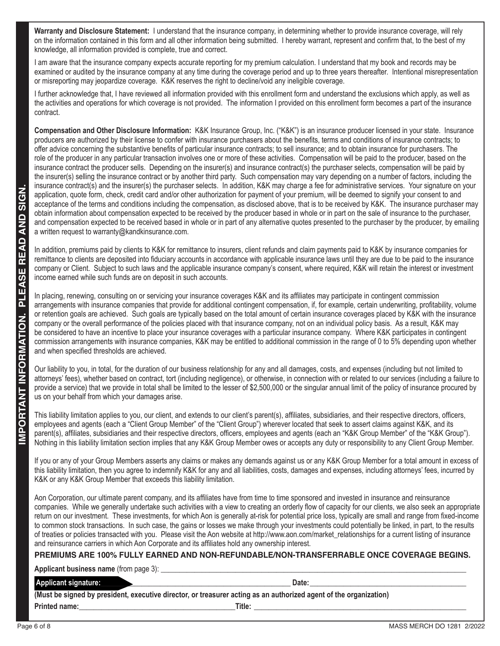**Warranty and Disclosure Statement:** I understand that the insurance company, in determining whether to provide insurance coverage, will rely on the information contained in this form and all other information being submitted. I hereby warrant, represent and confirm that, to the best of my knowledge, all information provided is complete, true and correct.

I am aware that the insurance company expects accurate reporting for my premium calculation. I understand that my book and records may be examined or audited by the insurance company at any time during the coverage period and up to three years thereafter. Intentional misrepresentation or misreporting may jeopardize coverage. K&K reserves the right to decline/void any ineligible coverage.

I further acknowledge that, I have reviewed all information provided with this enrollment form and understand the exclusions which apply, as well as the activities and operations for which coverage is not provided. The information I provided on this enrollment form becomes a part of the insurance contract.

**Compensation and Other Disclosure Information:** K&K Insurance Group, Inc. ("K&K") is an insurance producer licensed in your state. Insurance producers are authorized by their license to confer with insurance purchasers about the benefits, terms and conditions of insurance contracts; to offer advice concerning the substantive benefits of particular insurance contracts; to sell insurance; and to obtain insurance for purchasers. The role of the producer in any particular transaction involves one or more of these activities. Compensation will be paid to the producer, based on the insurance contract the producer sells. Depending on the insurer(s) and insurance contract(s) the purchaser selects, compensation will be paid by the insurer(s) selling the insurance contract or by another third party. Such compensation may vary depending on a number of factors, including the insurance contract(s) and the insurer(s) the purchaser selects. In addition, K&K may charge a fee for administrative services. Your signature on your application, quote form, check, credit card and/or other authorization for payment of your premium, will be deemed to signify your consent to and acceptance of the terms and conditions including the compensation, as disclosed above, that is to be received by K&K. The insurance purchaser may obtain information about compensation expected to be received by the producer based in whole or in part on the sale of insurance to the purchaser, and compensation expected to be received based in whole or in part of any alternative quotes presented to the purchaser by the producer, by emailing a written request to warranty@kandkinsurance.com.

In addition, premiums paid by clients to K&K for remittance to insurers, client refunds and claim payments paid to K&K by insurance companies for remittance to clients are deposited into fiduciary accounts in accordance with applicable insurance laws until they are due to be paid to the insurance company or Client. Subject to such laws and the applicable insurance company's consent, where required, K&K will retain the interest or investment income earned while such funds are on deposit in such accounts.

**Payable considers and the set of 8 of 8 MASS MERCH DO 128 MASS MERCH DO 1281 2022**<br> **Payable in the set of 8 MASS MERCH DO 1281 2/2022 IMPORTANT INFORMATION CONSIDER AND CONSIDER AND CONSIDER AND CONSIDER AND CONSIDER A** In placing, renewing, consulting on or servicing your insurance coverages K&K and its affiliates may participate in contingent commission arrangements with insurance companies that provide for additional contingent compensation, if, for example, certain underwriting, profitability, volume or retention goals are achieved. Such goals are typically based on the total amount of certain insurance coverages placed by K&K with the insurance company or the overall performance of the policies placed with that insurance company, not on an individual policy basis. As a result, K&K may be considered to have an incentive to place your insurance coverages with a particular insurance company. Where K&K participates in contingent commission arrangements with insurance companies, K&K may be entitled to additional commission in the range of 0 to 5% depending upon whether and when specified thresholds are achieved.

Our liability to you, in total, for the duration of our business relationship for any and all damages, costs, and expenses (including but not limited to attorneys' fees), whether based on contract, tort (including negligence), or otherwise, in connection with or related to our services (including a failure to provide a service) that we provide in total shall be limited to the lesser of \$2,500,000 or the singular annual limit of the policy of insurance procured by us on your behalf from which your damages arise.

This liability limitation applies to you, our client, and extends to our client's parent(s), affiliates, subsidiaries, and their respective directors, officers, employees and agents (each a "Client Group Member" of the "Client Group") wherever located that seek to assert claims against K&K, and its parent(s), affiliates, subsidiaries and their respective directors, officers, employees and agents (each an "K&K Group Member" of the "K&K Group"). Nothing in this liability limitation section implies that any K&K Group Member owes or accepts any duty or responsibility to any Client Group Member.

If you or any of your Group Members asserts any claims or makes any demands against us or any K&K Group Member for a total amount in excess of this liability limitation, then you agree to indemnify K&K for any and all liabilities, costs, damages and expenses, including attorneys' fees, incurred by K&K or any K&K Group Member that exceeds this liability limitation.

Aon Corporation, our ultimate parent company, and its affiliates have from time to time sponsored and invested in insurance and reinsurance companies. While we generally undertake such activities with a view to creating an orderly flow of capacity for our clients, we also seek an appropriate return on our investment. These investments, for which Aon is generally at-risk for potential price loss, typically are small and range from fixed-income to common stock transactions. In such case, the gains or losses we make through your investments could potentially be linked, in part, to the results of treaties or policies transacted with you. Please visit the Aon website at http://www.aon.com/market\_relationships for a current listing of insurance and reinsurance carriers in which Aon Corporate and its affiliates hold any ownership interest.

# **PREMIUMS ARE 100% FULLY EARNED AND NON-REFUNDABLE/NON-TRANSFERRABLE ONCE COVERAGE BEGINS.**

**Applicant business name** (from page 3): **\_\_\_\_\_\_\_\_\_\_\_\_\_\_\_\_\_\_\_\_\_\_\_\_\_\_\_\_\_\_\_\_\_\_\_\_\_\_\_\_\_\_\_\_\_\_\_\_\_\_\_\_\_\_\_\_\_\_\_\_\_\_\_\_\_\_\_\_\_\_\_\_\_\_\_\_\_\_\_\_\_\_**

## Applicant signature: **and the contract of the contract of the contract of the contract of the contract of the contract of the contract of the contract of the contract of the contract of the contract of the contract of the**

**(Must be signed by president, executive director, or treasurer acting as an authorized agent of the organization) Printed name:\_\_\_\_\_\_\_\_\_\_\_\_\_\_\_\_\_\_\_\_\_\_\_\_\_\_\_\_\_\_\_\_\_\_\_\_\_\_\_\_\_\_Title: \_\_\_\_\_\_\_\_\_\_\_\_\_\_\_\_\_\_\_\_\_\_\_\_\_\_\_\_\_\_\_\_\_\_\_\_\_\_\_\_\_\_\_\_\_\_\_\_\_\_\_\_\_\_\_\_\_**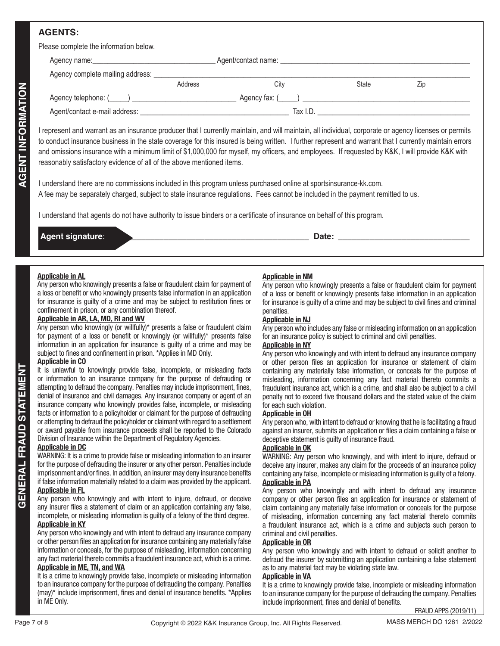# **AGENTS:**

| Please complete the information below.         |         |                        |              |     |  |
|------------------------------------------------|---------|------------------------|--------------|-----|--|
|                                                |         |                        |              |     |  |
| Agency complete mailing address: _____________ |         |                        |              |     |  |
|                                                | Address | City                   | <b>State</b> | Zip |  |
|                                                |         | $A$ gency fax: $($ $)$ |              |     |  |
|                                                |         | Tax I.D.               |              |     |  |
|                                                |         |                        |              |     |  |

Page 12 of external for external for external for external for external for external for external for external for external for external for external for external for extent and the second of the second of the second of th I represent and warrant as an insurance producer that I currently maintain, and will maintain, all individual, corporate or agency licenses or permits to conduct insurance business in the state coverage for this insured is being written. I further represent and warrant that I currently maintain errors and omissions insurance with a minimum limit of \$1,000,000 for myself, my officers, and employees. If requested by K&K, I will provide K&K with reasonably satisfactory evidence of all of the above mentioned items.

I understand there are no commissions included in this program unless purchased online at sportsinsurance-kk.com. A fee may be separately charged, subject to state insurance regulations. Fees cannot be included in the payment remitted to us.

I understand that agents do not have authority to issue binders or a certificate of insurance on behalf of this program.

| <b>LAgen</b>            | Date:  |
|-------------------------|--------|
| <b>Agent signature:</b> | $\sim$ |
|                         |        |

### **Applicable in AL**

Any person who knowingly presents a false or fraudulent claim for payment of a loss or benefit or who knowingly presents false information in an application for insurance is guilty of a crime and may be subject to restitution fines or confinement in prison, or any combination thereof.

# **Applicable in AR, LA, MD, RI and WV**

Any person who knowingly (or willfully)\* presents a false or fraudulent claim for payment of a loss or benefit or knowingly (or willfully)\* presents false information in an application for insurance is guilty of a crime and may be subject to fines and confinement in prison. \*Applies in MD Only.

#### **Applicable in CO**

It is unlawful to knowingly provide false, incomplete, or misleading facts or information to an insurance company for the purpose of defrauding or attempting to defraud the company. Penalties may include imprisonment, fines, denial of insurance and civil damages. Any insurance company or agent of an insurance company who knowingly provides false, incomplete, or misleading facts or information to a policyholder or claimant for the purpose of defrauding or attempting to defraud the policyholder or claimant with regard to a settlement or award payable from insurance proceeds shall be reported to the Colorado Division of Insurance within the Department of Regulatory Agencies.

#### **Applicable in DC**

WARNING: It is a crime to provide false or misleading information to an insurer for the purpose of defrauding the insurer or any other person. Penalties include imprisonment and/or fines. In addition, an insurer may deny insurance benefits if false information materially related to a claim was provided by the applicant.

## **Applicable in FL**

Any person who knowingly and with intent to injure, defraud, or deceive any insurer files a statement of claim or an application containing any false, incomplete, or misleading information is guilty of a felony of the third degree. **Applicable in KY**

#### Any person who knowingly and with intent to defraud any insurance company or other person files an application for insurance containing any materially false information or conceals, for the purpose of misleading, information concerning any fact material thereto commits a fraudulent insurance act, which is a crime. **Applicable in ME, TN, and WA**

It is a crime to knowingly provide false, incomplete or misleading information to an insurance company for the purpose of defrauding the company. Penalties (may)\* include imprisonment, fines and denial of insurance benefits. \*Applies in ME Only.

## **Applicable in NM**

Any person who knowingly presents a false or fraudulent claim for payment of a loss or benefit or knowingly presents false information in an application for insurance is guilty of a crime and may be subject to civil fines and criminal penalties.

#### **Applicable in NJ**

Any person who includes any false or misleading information on an application for an insurance policy is subject to criminal and civil penalties.

#### **Applicable in NY**

Any person who knowingly and with intent to defraud any insurance company or other person files an application for insurance or statement of claim containing any materially false information, or conceals for the purpose of misleading, information concerning any fact material thereto commits a fraudulent insurance act, which is a crime, and shall also be subject to a civil penalty not to exceed five thousand dollars and the stated value of the claim for each such violation.

#### **Applicable in OH**

Any person who, with intent to defraud or knowing that he is facilitating a fraud against an insurer, submits an application or files a claim containing a false or deceptive statement is guilty of insurance fraud.

#### **Applicable in OK**

WARNING: Any person who knowingly, and with intent to injure, defraud or deceive any insurer, makes any claim for the proceeds of an insurance policy containing any false, incomplete or misleading information is guilty of a felony. **Applicable in PA**

Any person who knowingly and with intent to defraud any insurance company or other person files an application for insurance or statement of claim containing any materially false information or conceals for the purpose of misleading, information concerning any fact material thereto commits a fraudulent insurance act, which is a crime and subjects such person to criminal and civil penalties.

#### **Applicable in OR**

Any person who knowingly and with intent to defraud or solicit another to defraud the insurer by submitting an application containing a false statement as to any material fact may be violating state law.

#### **Applicable in VA**

It is a crime to knowingly provide false, incomplete or misleading information to an insurance company for the purpose of defrauding the company. Penalties include imprisonment, fines and denial of benefits.

FRAUD APPS (2019/11)